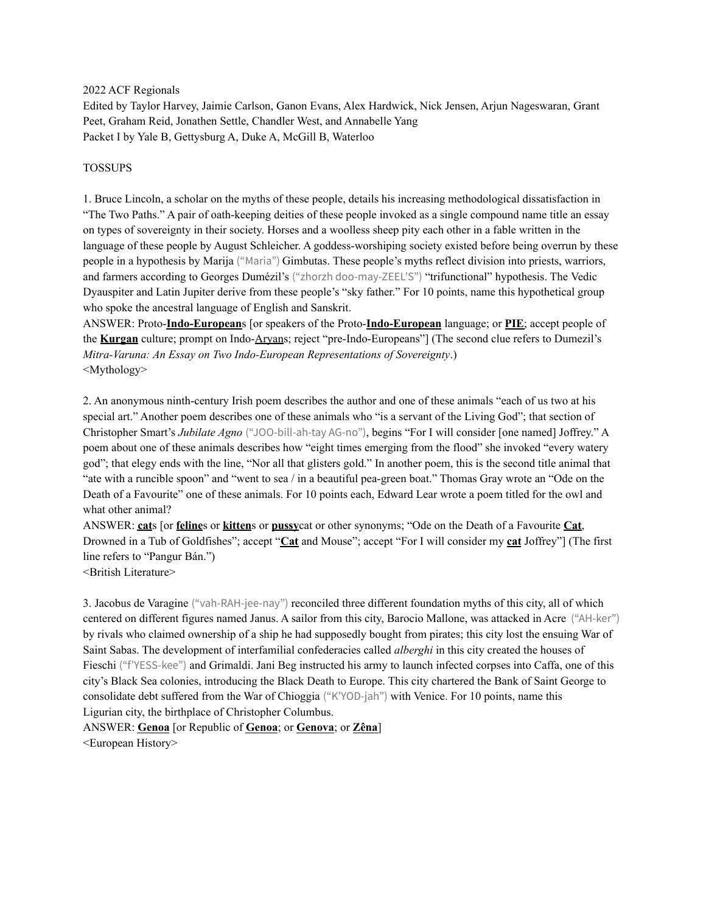2022 ACF Regionals

Edited by Taylor Harvey, Jaimie Carlson, Ganon Evans, Alex Hardwick, Nick Jensen, Arjun Nageswaran, Grant Peet, Graham Reid, Jonathen Settle, Chandler West, and Annabelle Yang Packet I by Yale B, Gettysburg A, Duke A, McGill B, Waterloo

#### TOSSUPS

1. Bruce Lincoln, a scholar on the myths of these people, details his increasing methodological dissatisfaction in "The Two Paths." A pair of oath-keeping deities of these people invoked as a single compound name title an essay on types of sovereignty in their society. Horses and a woolless sheep pity each other in a fable written in the language of these people by August Schleicher. A goddess-worshiping society existed before being overrun by these people in a hypothesis by Marija ("Maria") Gimbutas. These people's myths reflect division into priests, warriors, and farmers according to Georges Dumézil's ("zhorzh doo-may-ZEEL'S") "trifunctional" hypothesis. The Vedic Dyauspiter and Latin Jupiter derive from these people's "sky father." For 10 points, name this hypothetical group who spoke the ancestral language of English and Sanskrit.

ANSWER: Proto-**Indo-European**s [or speakers of the Proto-**Indo-European** language; or **PIE**; accept people of the **Kurgan** culture; prompt on Indo-Aryans; reject "pre-Indo-Europeans"] (The second clue refers to Dumezil's *Mitra-Varuna: An Essay on Two Indo-European Representations of Sovereignty*.) <Mythology>

2. An anonymous ninth-century Irish poem describes the author and one of these animals "each of us two at his special art." Another poem describes one of these animals who "is a servant of the Living God"; that section of Christopher Smart's *Jubilate Agno* ("JOO-bill-ah-tay AG-no"), begins "For I will consider [one named] Joffrey." A poem about one of these animals describes how "eight times emerging from the flood" she invoked "every watery god"; that elegy ends with the line, "Nor all that glisters gold." In another poem, this is the second title animal that "ate with a runcible spoon" and "went to sea / in a beautiful pea-green boat." Thomas Gray wrote an "Ode on the Death of a Favourite" one of these animals. For 10 points each, Edward Lear wrote a poem titled for the owl and what other animal?

ANSWER: **cat**s [or **feline**s or **kitten**s or **pussy**cat or other synonyms; "Ode on the Death of a Favourite **Cat**, Drowned in a Tub of Goldfishes"; accept "**Cat** and Mouse"; accept "For I will consider my **cat** Joffrey"] (The first line refers to "Pangur Bán.")

<British Literature>

3. Jacobus de Varagine ("vah-RAH-jee-nay") reconciled three different foundation myths of this city, all of which centered on different figures named Janus. A sailor from this city, Barocio Mallone, was attacked in Acre ("AH-ker") by rivals who claimed ownership of a ship he had supposedly bought from pirates; this city lost the ensuing War of Saint Sabas. The development of interfamilial confederacies called *alberghi* in this city created the houses of Fieschi ("f'YESS-kee") and Grimaldi. Jani Beg instructed his army to launch infected corpses into Caffa, one of this city's Black Sea colonies, introducing the Black Death to Europe. This city chartered the Bank of Saint George to consolidate debt suffered from the War of Chioggia ("K'YOD-jah") with Venice. For 10 points, name this Ligurian city, the birthplace of Christopher Columbus.

ANSWER: **Genoa** [or Republic of **Genoa**; or **Genova**; or **Zêna**] <European History>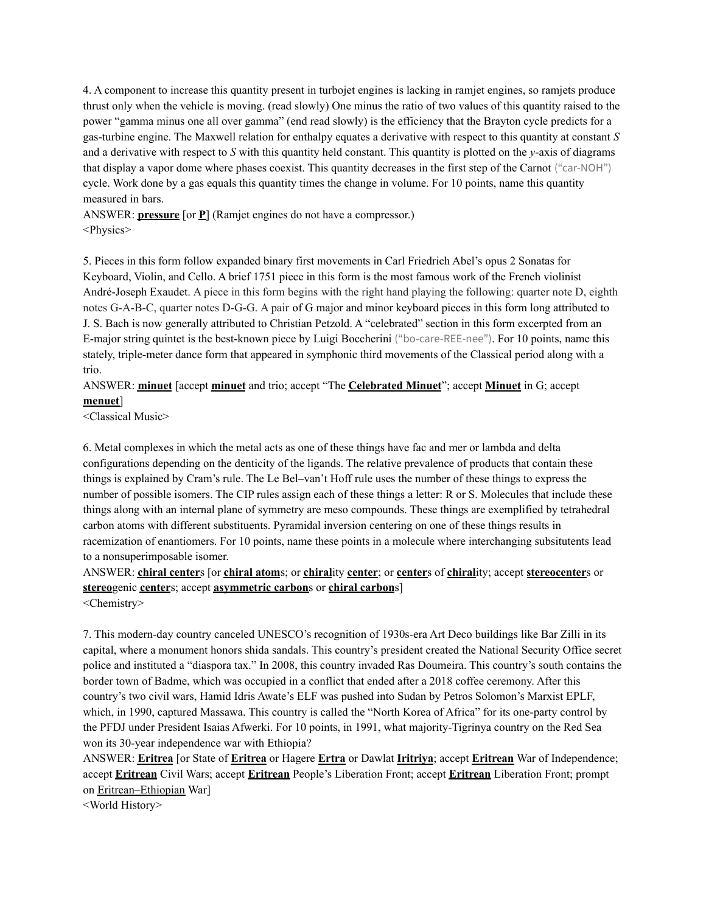4. A component to increase this quantity present in turbojet engines is lacking in ramjet engines, so ramjets produce thrust only when the vehicle is moving. (read slowly) One minus the ratio of two values of this quantity raised to the power "gamma minus one all over gamma" (end read slowly) is the efficiency that the Brayton cycle predicts for a gas-turbine engine. The Maxwell relation for enthalpy equates a derivative with respect to this quantity at constant *S* and a derivative with respect to *S* with this quantity held constant. This quantity is plotted on the *y*-axis of diagrams that display a vapor dome where phases coexist. This quantity decreases in the first step of the Carnot ("car-NOH") cycle. Work done by a gas equals this quantity times the change in volume. For 10 points, name this quantity measured in bars.

ANSWER: **pressure** [or **P**] (Ramjet engines do not have a compressor.) <Physics>

5. Pieces in this form follow expanded binary first movements in Carl Friedrich Abel's opus 2 Sonatas for Keyboard, Violin, and Cello. A brief 1751 piece in this form is the most famous work of the French violinist André-Joseph Exaudet. A piece in this form begins with the right hand playing the following: quarter note D, eighth notes G-A-B-C, quarter notes D-G-G. A pair of G major and minor keyboard pieces in this form long attributed to J. S. Bach is now generally attributed to Christian Petzold. A "celebrated" section in this form excerpted from an E-major string quintet is the best-known piece by Luigi Boccherini ("bo-care-REE-nee"). For 10 points, name this stately, triple-meter dance form that appeared in symphonic third movements of the Classical period along with a trio.

ANSWER: **minuet** [accept **minuet** and trio; accept "The **Celebrated Minuet**"; accept **Minuet** in G; accept **menuet**]

<Classical Music>

6. Metal complexes in which the metal acts as one of these things have fac and mer or lambda and delta configurations depending on the denticity of the ligands. The relative prevalence of products that contain these things is explained by Cram's rule. The Le Bel–van't Hoff rule uses the number of these things to express the number of possible isomers. The CIP rules assign each of these things a letter: R or S. Molecules that include these things along with an internal plane of symmetry are meso compounds. These things are exemplified by tetrahedral carbon atoms with different substituents. Pyramidal inversion centering on one of these things results in racemization of enantiomers. For 10 points, name these points in a molecule where interchanging subsitutents lead to a nonsuperimposable isomer.

ANSWER: **chiral center**s [or **chiral atom**s; or **chiral**ity **center**; or **center**s of **chiral**ity; accept **stereocenter**s or **stereo**genic **center**s; accept **asymmetric carbon**s or **chiral carbon**s] <Chemistry>

7. This modern-day country canceled UNESCO's recognition of 1930s-era Art Deco buildings like Bar Zilli in its capital, where a monument honors shida sandals. This country's president created the National Security Office secret police and instituted a "diaspora tax." In 2008, this country invaded Ras Doumeira. This country's south contains the border town of Badme, which was occupied in a conflict that ended after a 2018 coffee ceremony. After this country's two civil wars, Hamid Idris Awate's ELF was pushed into Sudan by Petros Solomon's Marxist EPLF, which, in 1990, captured Massawa. This country is called the "North Korea of Africa" for its one-party control by the PFDJ under President Isaias Afwerki. For 10 points, in 1991, what majority-Tigrinya country on the Red Sea won its 30-year independence war with Ethiopia?

ANSWER: **Eritrea** [or State of **Eritrea** or Hagere **Ertra** or Dawlat **Iritriya**; accept **Eritrean** War of Independence; accept **Eritrean** Civil Wars; accept **Eritrean** People's Liberation Front; accept **Eritrean** Liberation Front; prompt on Eritrean–Ethiopian War]

<World History>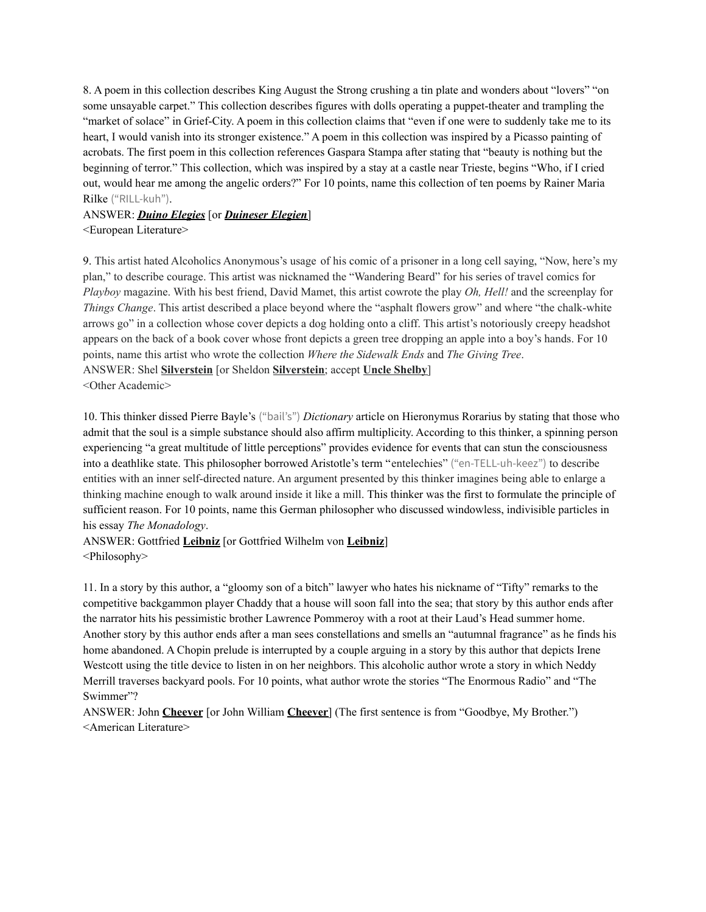8. A poem in this collection describes King August the Strong crushing a tin plate and wonders about "lovers" "on some unsayable carpet." This collection describes figures with dolls operating a puppet-theater and trampling the "market of solace" in Grief-City. A poem in this collection claims that "even if one were to suddenly take me to its heart, I would vanish into its stronger existence." A poem in this collection was inspired by a Picasso painting of acrobats. The first poem in this collection references Gaspara Stampa after stating that "beauty is nothing but the beginning of terror." This collection, which was inspired by a stay at a castle near Trieste, begins "Who, if I cried out, would hear me among the angelic orders?" For 10 points, name this collection of ten poems by Rainer Maria Rilke ("RILL-kuh").

# ANSWER: *Duino Elegies* [or *Duineser Elegien*]

<European Literature>

9. This artist hated Alcoholics Anonymous's usage of his comic of a prisoner in a long cell saying, "Now, here's my plan," to describe courage. This artist was nicknamed the "Wandering Beard" for his series of travel comics for *Playboy* magazine. With his best friend, David Mamet, this artist cowrote the play *Oh, Hell!* and the screenplay for *Things Change*. This artist described a place beyond where the "asphalt flowers grow" and where "the chalk-white arrows go" in a collection whose cover depicts a dog holding onto a cliff. This artist's notoriously creepy headshot appears on the back of a book cover whose front depicts a green tree dropping an apple into a boy's hands. For 10 points, name this artist who wrote the collection *Where the Sidewalk Ends* and *The Giving Tree*. ANSWER: Shel **Silverstein** [or Sheldon **Silverstein**; accept **Uncle Shelby**] <Other Academic>

10. This thinker dissed Pierre Bayle's ("bail's") *Dictionary* article on Hieronymus Rorarius by stating that those who admit that the soul is a simple substance should also affirm multiplicity. According to this thinker, a spinning person experiencing "a great multitude of little perceptions" provides evidence for events that can stun the consciousness into a deathlike state. This philosopher borrowed Aristotle's term "entelechies" ("en-TELL-uh-keez") to describe entities with an inner self-directed nature. An argument presented by this thinker imagines being able to enlarge a thinking machine enough to walk around inside it like a mill. This thinker was the first to formulate the principle of sufficient reason. For 10 points, name this German philosopher who discussed windowless, indivisible particles in his essay *The Monadology*.

ANSWER: Gottfried **Leibniz** [or Gottfried Wilhelm von **Leibniz**] <Philosophy>

11. In a story by this author, a "gloomy son of a bitch" lawyer who hates his nickname of "Tifty" remarks to the competitive backgammon player Chaddy that a house will soon fall into the sea; that story by this author ends after the narrator hits his pessimistic brother Lawrence Pommeroy with a root at their Laud's Head summer home. Another story by this author ends after a man sees constellations and smells an "autumnal fragrance" as he finds his home abandoned. A Chopin prelude is interrupted by a couple arguing in a story by this author that depicts Irene Westcott using the title device to listen in on her neighbors. This alcoholic author wrote a story in which Neddy Merrill traverses backyard pools. For 10 points, what author wrote the stories "The Enormous Radio" and "The Swimmer"?

ANSWER: John **Cheever** [or John William **Cheever**] (The first sentence is from "Goodbye, My Brother.") <American Literature>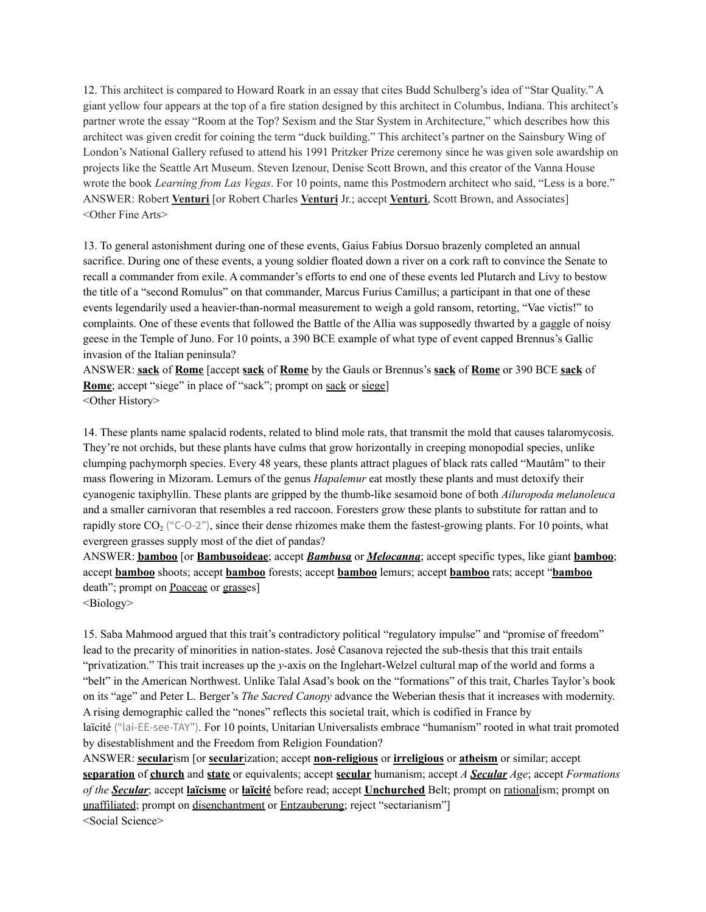12. This architect is compared to Howard Roark in an essay that cites Budd Schulberg's idea of "Star Quality." A giant yellow four appears at the top of a fire station designed by this architect in Columbus, Indiana. This architect's partner wrote the essay "Room at the Top? Sexism and the Star System in Architecture," which describes how this architect was given credit for coining the term "duck building." This architect's partner on the Sainsbury Wing of London's National Gallery refused to attend his 1991 Pritzker Prize ceremony since he was given sole awardship on projects like the Seattle Art Museum. Steven Izenour, Denise Scott Brown, and this creator of the Vanna House wrote the book *Learning from Las Vegas*. For 10 points, name this Postmodern architect who said, "Less is a bore." ANSWER: Robert **Venturi** [or Robert Charles **Venturi** Jr.; accept **Venturi**, Scott Brown, and Associates] <Other Fine Arts>

13. To general astonishment during one of these events, Gaius Fabius Dorsuo brazenly completed an annual sacrifice. During one of these events, a young soldier floated down a river on a cork raft to convince the Senate to recall a commander from exile. A commander's efforts to end one of these events led Plutarch and Livy to bestow the title of a "second Romulus" on that commander, Marcus Furius Camillus; a participant in that one of these events legendarily used a heavier-than-normal measurement to weigh a gold ransom, retorting, "Vae victis!" to complaints. One of these events that followed the Battle of the Allia was supposedly thwarted by a gaggle of noisy geese in the Temple of Juno. For 10 points, a 390 BCE example of what type of event capped Brennus's Gallic invasion of the Italian peninsula?

ANSWER: **sack** of **Rome** [accept **sack** of **Rome** by the Gauls or Brennus's **sack** of **Rome** or 390 BCE **sack** of **Rome**; accept "siege" in place of "sack"; prompt on sack or siege] <Other History>

14. These plants name spalacid rodents, related to blind mole rats, that transmit the mold that causes talaromycosis. They're not orchids, but these plants have culms that grow horizontally in creeping monopodial species, unlike clumping pachymorph species. Every 48 years, these plants attract plagues of black rats called "Mautâm" to their mass flowering in Mizoram. Lemurs of the genus *Hapalemur* eat mostly these plants and must detoxify their cyanogenic taxiphyllin. These plants are gripped by the thumb-like sesamoid bone of both *Ailuropoda melanoleuca* and a smaller carnivoran that resembles a red raccoon. Foresters grow these plants to substitute for rattan and to rapidly store  $CO<sub>2</sub>$  ("C-O-2"), since their dense rhizomes make them the fastest-growing plants. For 10 points, what evergreen grasses supply most of the diet of pandas?

ANSWER: **bamboo** [or **Bambusoideae**; accept *Bambusa* or *Melocanna*; accept specific types, like giant **bamboo**; accept **bamboo** shoots; accept **bamboo** forests; accept **bamboo** lemurs; accept **bamboo** rats; accept "**bamboo** death"; prompt on Poaceae or grasses]

<Biology>

15. Saba Mahmood argued that this trait's contradictory political "regulatory impulse" and "promise of freedom" lead to the precarity of minorities in nation-states. José Casanova rejected the sub-thesis that this trait entails "privatization." This trait increases up the *y*-axis on the Inglehart-Welzel cultural map of the world and forms a "belt" in the American Northwest. Unlike Talal Asad's book on the "formations" of this trait, Charles Taylor's book on its "age" and Peter L. Berger's *The Sacred Canopy* advance the Weberian thesis that it increases with modernity. A rising demographic called the "nones" reflects this societal trait, which is codified in France by laïcité ("lai-EE-see-TAY"). For 10 points, Unitarian Universalists embrace "humanism" rooted in what trait promoted by disestablishment and the Freedom from Religion Foundation?

ANSWER: **secular**ism [or **secular**ization; accept **non-religious** or **irreligious** or **atheism** or similar; accept **separation** of **church** and **state** or equivalents; accept **secular** humanism; accept *A Secular Age*; accept *Formations of the Secular*; accept **laïcisme** or **laïcité** before read; accept **Unchurched** Belt; prompt on rationalism; prompt on unaffiliated; prompt on disenchantment or Entzauberung; reject "sectarianism"] <Social Science>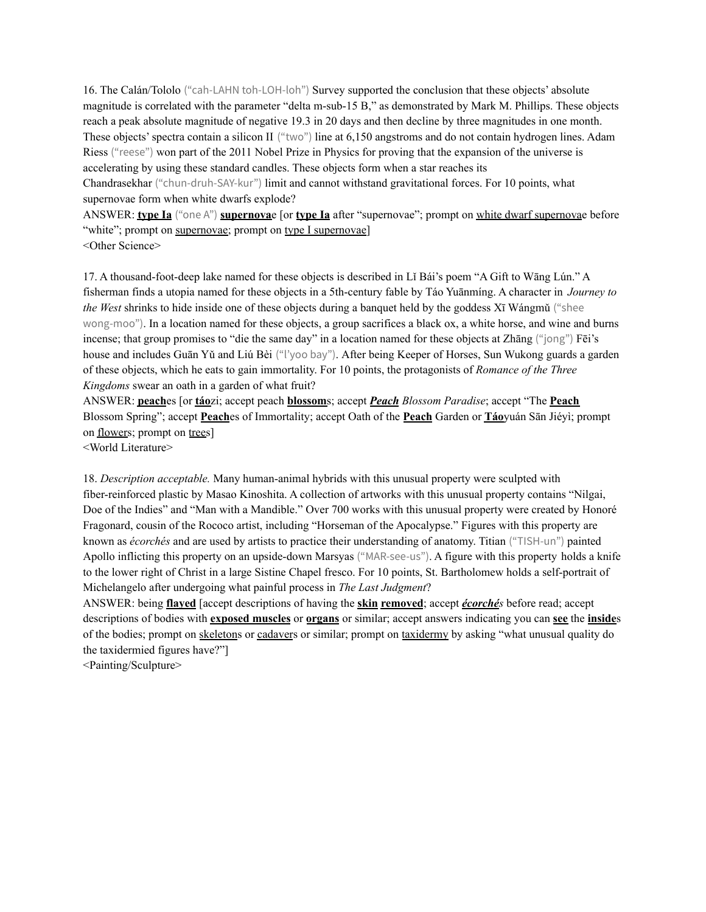16. The Calán/Tololo ("cah-LAHN toh-LOH-loh") Survey supported the conclusion that these objects' absolute magnitude is correlated with the parameter "delta m-sub-15 B," as demonstrated by Mark M. Phillips. These objects reach a peak absolute magnitude of negative 19.3 in 20 days and then decline by three magnitudes in one month. These objects' spectra contain a silicon II ("two") line at 6,150 angstroms and do not contain hydrogen lines. Adam Riess ("reese") won part of the 2011 Nobel Prize in Physics for proving that the expansion of the universe is accelerating by using these standard candles. These objects form when a star reaches its

Chandrasekhar ("chun-druh-SAY-kur") limit and cannot withstand gravitational forces. For 10 points, what supernovae form when white dwarfs explode?

ANSWER: **type Ia** ("one A") **supernova**e [or **type Ia** after "supernovae"; prompt on white dwarf supernovae before "white"; prompt on supernovae; prompt on type I supernovae]

<Other Science>

17. A thousand-foot-deep lake named for these objects is described in Lǐ Bái's poem "A Gift to Wāng Lún." A fisherman finds a utopia named for these objects in a 5th-century fable by Táo Yuānmíng. A character in *Journey to the West* shrinks to hide inside one of these objects during a banquet held by the goddess Xī Wángmǔ ("shee wong-moo"). In a location named for these objects, a group sacrifices a black ox, a white horse, and wine and burns incense; that group promises to "die the same day" in a location named for these objects at Zhāng ("jong") Fēi's house and includes Guān Yǔ and Liú Bèi ("l'yoo bay"). After being Keeper of Horses, Sun Wukong guards a garden of these objects, which he eats to gain immortality. For 10 points, the protagonists of *Romance of the Three Kingdoms* swear an oath in a garden of what fruit?

ANSWER: **peach**es [or **táo**zi; accept peach **blossom**s; accept *Peach Blossom Paradise*; accept "The **Peach** Blossom Spring"; accept **Peach**es of Immortality; accept Oath of the **Peach** Garden or **Táo**yuán Sān Jiéyì; prompt on flowers; prompt on trees]

<World Literature>

18. *Description acceptable.* Many human-animal hybrids with this unusual property were sculpted with fiber-reinforced plastic by Masao Kinoshita. A collection of artworks with this unusual property contains "Nilgai, Doe of the Indies" and "Man with a Mandible." Over 700 works with this unusual property were created by Honoré Fragonard, cousin of the Rococo artist, including "Horseman of the Apocalypse." Figures with this property are known as *écorchés* and are used by artists to practice their understanding of anatomy. Titian ("TISH-un") painted Apollo inflicting this property on an upside-down Marsyas ("MAR-see-us"). A figure with this property holds a knife to the lower right of Christ in a large Sistine Chapel fresco. For 10 points, St. Bartholomew holds a self-portrait of Michelangelo after undergoing what painful process in *The Last Judgment*?

ANSWER: being **flayed** [accept descriptions of having the **skin removed**; accept *écorchés* before read; accept descriptions of bodies with **exposed muscles** or **organs** or similar; accept answers indicating you can **see** the **inside**s of the bodies; prompt on skeletons or cadavers or similar; prompt on taxidermy by asking "what unusual quality do the taxidermied figures have?"]

<Painting/Sculpture>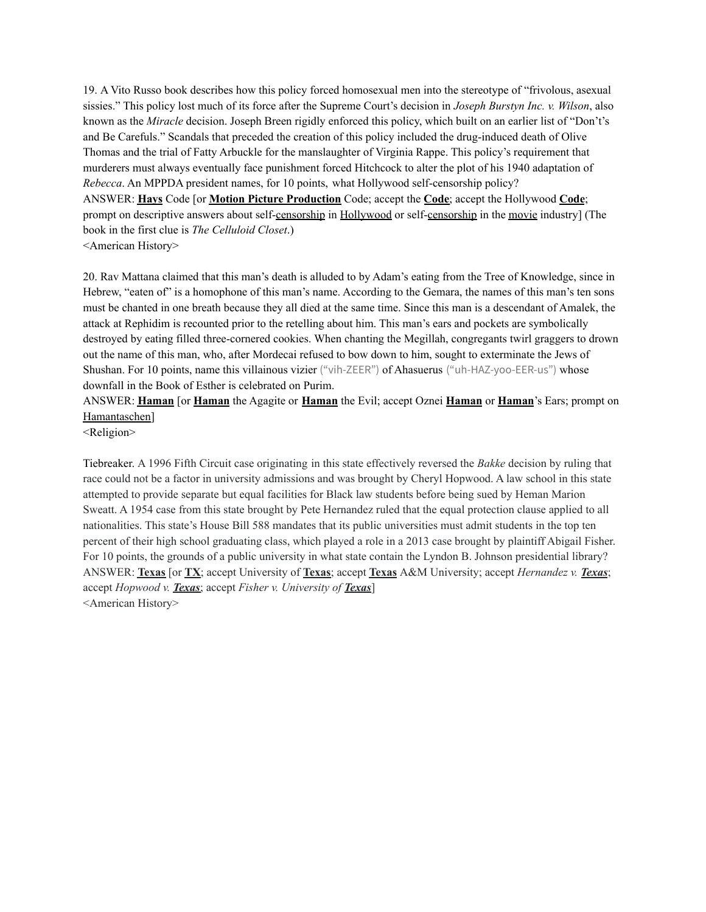19. A Vito Russo book describes how this policy forced homosexual men into the stereotype of "frivolous, asexual sissies." This policy lost much of its force after the Supreme Court's decision in *Joseph Burstyn Inc. v. Wilson*, also known as the *Miracle* decision. Joseph Breen rigidly enforced this policy, which built on an earlier list of "Don't's and Be Carefuls." Scandals that preceded the creation of this policy included the drug-induced death of Olive Thomas and the trial of Fatty Arbuckle for the manslaughter of Virginia Rappe. This policy's requirement that murderers must always eventually face punishment forced Hitchcock to alter the plot of his 1940 adaptation of *Rebecca*. An MPPDA president names, for 10 points, what Hollywood self-censorship policy? ANSWER: **Hays** Code [or **Motion Picture Production** Code; accept the **Code**; accept the Hollywood **Code**; prompt on descriptive answers about self-censorship in Hollywood or self-censorship in the movie industry] (The book in the first clue is *The Celluloid Closet*.) <American History>

20. Rav Mattana claimed that this man's death is alluded to by Adam's eating from the Tree of Knowledge, since in Hebrew, "eaten of" is a homophone of this man's name. According to the Gemara, the names of this man's ten sons must be chanted in one breath because they all died at the same time. Since this man is a descendant of Amalek, the attack at Rephidim is recounted prior to the retelling about him. This man's ears and pockets are symbolically destroyed by eating filled three-cornered cookies. When chanting the Megillah, congregants twirl graggers to drown out the name of this man, who, after Mordecai refused to bow down to him, sought to exterminate the Jews of Shushan. For 10 points, name this villainous vizier ("vih-ZEER") of Ahasuerus ("uh-HAZ-yoo-EER-us") whose downfall in the Book of Esther is celebrated on Purim.

ANSWER: **Haman** [or **Haman** the Agagite or **Haman** the Evil; accept Oznei **Haman** or **Haman**'s Ears; prompt on Hamantaschen]

<Religion>

Tiebreaker. A 1996 Fifth Circuit case originating in this state effectively reversed the *Bakke* decision by ruling that race could not be a factor in university admissions and was brought by Cheryl Hopwood. A law school in this state attempted to provide separate but equal facilities for Black law students before being sued by Heman Marion Sweatt. A 1954 case from this state brought by Pete Hernandez ruled that the equal protection clause applied to all nationalities. This state's House Bill 588 mandates that its public universities must admit students in the top ten percent of their high school graduating class, which played a role in a 2013 case brought by plaintiff Abigail Fisher. For 10 points, the grounds of a public university in what state contain the Lyndon B. Johnson presidential library? ANSWER: **Texas** [or **TX**; accept University of **Texas**; accept **Texas** A&M University; accept *Hernandez v. Texas*; accept *Hopwood v. Texas*; accept *Fisher v. University of Texas*] <American History>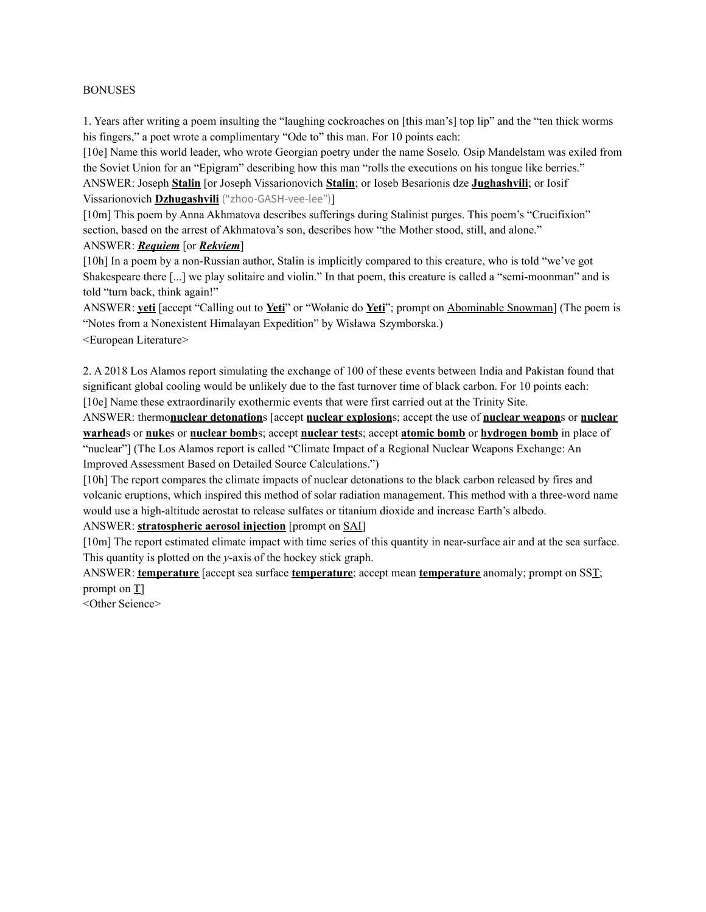#### BONUSES

1. Years after writing a poem insulting the "laughing cockroaches on [this man's] top lip" and the "ten thick worms his fingers," a poet wrote a complimentary "Ode to" this man. For 10 points each:

[10e] Name this world leader, who wrote Georgian poetry under the name Soselo*.* Osip Mandelstam was exiled from the Soviet Union for an "Epigram" describing how this man "rolls the executions on his tongue like berries." ANSWER: Joseph **Stalin** [or Joseph Vissarionovich **Stalin**; or Ioseb Besarionis dze **Jughashvili**; or Iosif Vissarionovich **Dzhugashvili** ("zhoo-GASH-vee-lee")]

[10m] This poem by Anna Akhmatova describes sufferings during Stalinist purges. This poem's "Crucifixion" section, based on the arrest of Akhmatova's son, describes how "the Mother stood, still, and alone."

# ANSWER: *Requiem* [or *Rekviem*]

[10h] In a poem by a non-Russian author, Stalin is implicitly compared to this creature, who is told "we've got Shakespeare there [...] we play solitaire and violin." In that poem, this creature is called a "semi-moonman" and is told "turn back, think again!"

ANSWER: **yeti** [accept "Calling out to **Yeti**" or "Wołanie do **Yeti**"; prompt on Abominable Snowman] (The poem is "Notes from a Nonexistent Himalayan Expedition" by Wisława Szymborska.)

<European Literature>

2. A 2018 Los Alamos report simulating the exchange of 100 of these events between India and Pakistan found that significant global cooling would be unlikely due to the fast turnover time of black carbon. For 10 points each: [10e] Name these extraordinarily exothermic events that were first carried out at the Trinity Site.

ANSWER: thermo**nuclear detonation**s [accept **nuclear explosion**s; accept the use of **nuclear weapon**s or **nuclear warhead**s or **nuke**s or **nuclear bomb**s; accept **nuclear test**s; accept **atomic bomb** or **hydrogen bomb** in place of "nuclear"] (The Los Alamos report is called "Climate Impact of a Regional Nuclear Weapons Exchange: An Improved Assessment Based on Detailed Source Calculations.")

[10h] The report compares the climate impacts of nuclear detonations to the black carbon released by fires and volcanic eruptions, which inspired this method of solar radiation management. This method with a three-word name would use a high-altitude aerostat to release sulfates or titanium dioxide and increase Earth's albedo.

ANSWER: **stratospheric aerosol injection** [prompt on SAI]

[10m] The report estimated climate impact with time series of this quantity in near-surface air and at the sea surface. This quantity is plotted on the *y*-axis of the hockey stick graph.

ANSWER: **temperature** [accept sea surface **temperature**; accept mean **temperature** anomaly; prompt on SST; prompt on T]

<Other Science>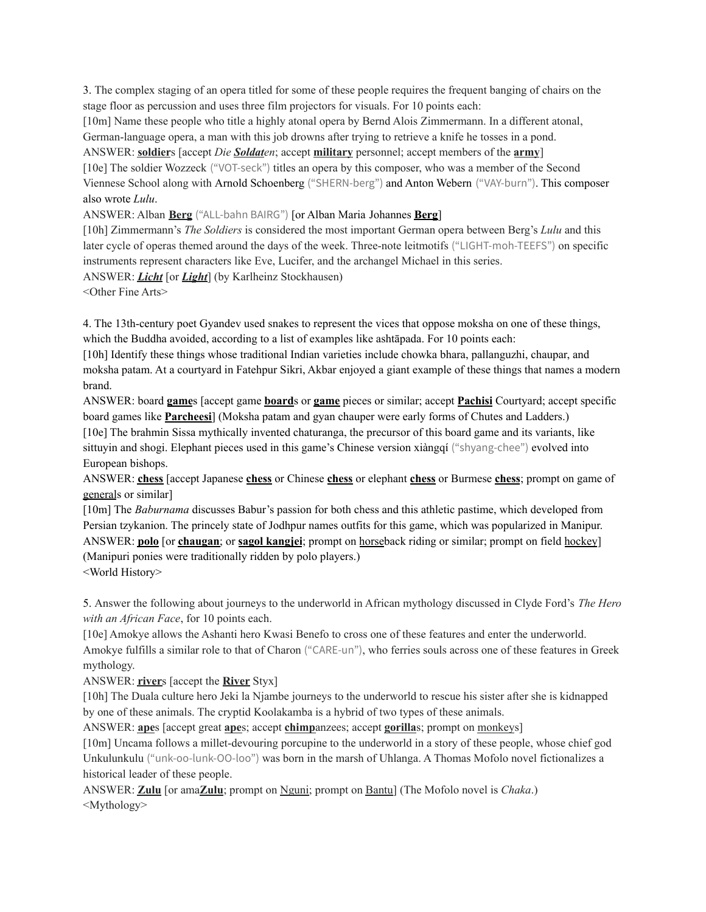3. The complex staging of an opera titled for some of these people requires the frequent banging of chairs on the stage floor as percussion and uses three film projectors for visuals. For 10 points each:

[10m] Name these people who title a highly atonal opera by Bernd Alois Zimmermann. In a different atonal, German-language opera, a man with this job drowns after trying to retrieve a knife he tosses in a pond.

ANSWER: **soldier**s [accept *Die Soldaten*; accept **military** personnel; accept members of the **army**]

[10e] The soldier Wozzeck ("VOT-seck") titles an opera by this composer, who was a member of the Second Viennese School along with Arnold Schoenberg ("SHERN-berg") and Anton Webern ("VAY-burn"). This composer also wrote *Lulu*.

ANSWER: Alban **Berg** ("ALL-bahn BAIRG") [or Alban Maria Johannes **Berg**]

[10h] Zimmermann's *The Soldiers* is considered the most important German opera between Berg's *Lulu* and this later cycle of operas themed around the days of the week. Three-note leitmotifs ("LIGHT-moh-TEEFS") on specific instruments represent characters like Eve, Lucifer, and the archangel Michael in this series.

ANSWER: *Licht* [or *Light*] (by Karlheinz Stockhausen)

<Other Fine Arts>

4. The 13th-century poet Gyandev used snakes to represent the vices that oppose moksha on one of these things, which the Buddha avoided, according to a list of examples like ashtāpada. For 10 points each:

[10h] Identify these things whose traditional Indian varieties include chowka bhara, pallanguzhi, chaupar, and moksha patam. At a courtyard in Fatehpur Sikri, Akbar enjoyed a giant example of these things that names a modern brand.

ANSWER: board **game**s [accept game **board**s or **game** pieces or similar; accept **Pachisi** Courtyard; accept specific board games like **Parcheesi**] (Moksha patam and gyan chauper were early forms of Chutes and Ladders.) [10e] The brahmin Sissa mythically invented chaturanga, the precursor of this board game and its variants, like sittuyin and shogi. Elephant pieces used in this game's Chinese version xiàngqí ("shyang-chee") evolved into European bishops.

ANSWER: **chess** [accept Japanese **chess** or Chinese **chess** or elephant **chess** or Burmese **chess**; prompt on game of generals or similar]

[10m] The *Baburnama* discusses Babur's passion for both chess and this athletic pastime, which developed from Persian tzykanion. The princely state of Jodhpur names outfits for this game, which was popularized in Manipur. ANSWER: **polo** [or **chaugan**; or **sagol kangjei**; prompt on horseback riding or similar; prompt on field hockey] (Manipuri ponies were traditionally ridden by polo players.) <World History>

5. Answer the following about journeys to the underworld in African mythology discussed in Clyde Ford's *The Hero with an African Face*, for 10 points each.

[10e] Amokye allows the Ashanti hero Kwasi Benefo to cross one of these features and enter the underworld. Amokye fulfills a similar role to that of Charon ("CARE-un"), who ferries souls across one of these features in Greek mythology.

ANSWER: **river**s [accept the **River** Styx]

[10h] The Duala culture hero Jeki la Njambe journeys to the underworld to rescue his sister after she is kidnapped by one of these animals. The cryptid Koolakamba is a hybrid of two types of these animals.

ANSWER: **ape**s [accept great **ape**s; accept **chimp**anzees; accept **gorilla**s; prompt on monkeys]

[10m] Uncama follows a millet-devouring porcupine to the underworld in a story of these people, whose chief god Unkulunkulu ("unk-oo-lunk-OO-loo") was born in the marsh of Uhlanga. A Thomas Mofolo novel fictionalizes a historical leader of these people.

ANSWER: **Zulu** [or ama**Zulu**; prompt on Nguni; prompt on Bantu] (The Mofolo novel is *Chaka*.) <Mythology>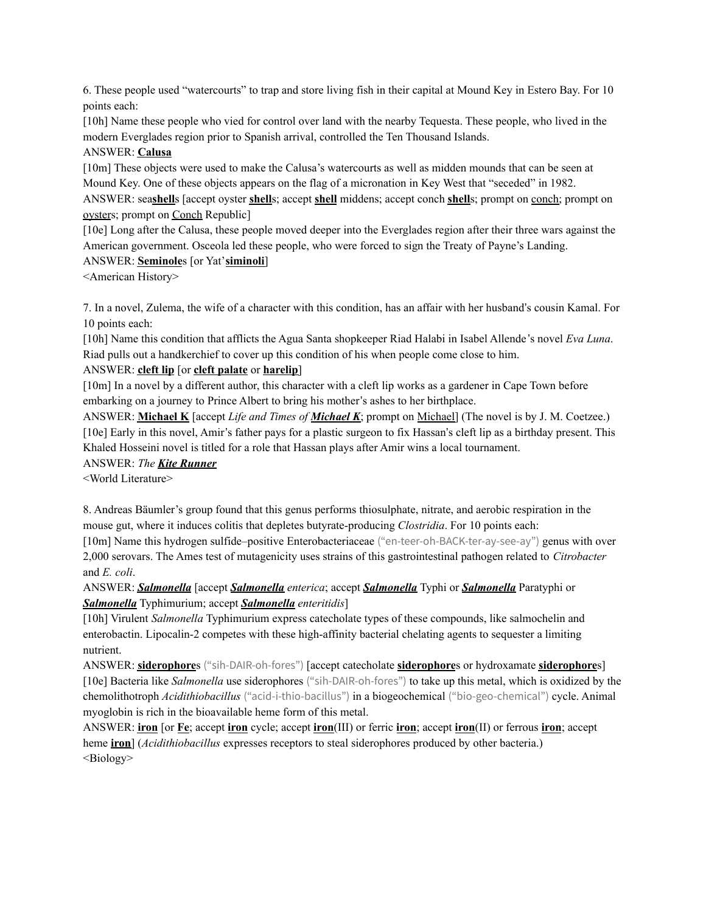6. These people used "watercourts" to trap and store living fish in their capital at Mound Key in Estero Bay. For 10 points each:

[10h] Name these people who vied for control over land with the nearby Tequesta. These people, who lived in the modern Everglades region prior to Spanish arrival, controlled the Ten Thousand Islands.

# ANSWER: **Calusa**

[10m] These objects were used to make the Calusa's watercourts as well as midden mounds that can be seen at Mound Key. One of these objects appears on the flag of a micronation in Key West that "seceded" in 1982. ANSWER: sea**shell**s [accept oyster **shell**s; accept **shell** middens; accept conch **shell**s; prompt on conch; prompt on

oysters; prompt on Conch Republic]

[10e] Long after the Calusa, these people moved deeper into the Everglades region after their three wars against the American government. Osceola led these people, who were forced to sign the Treaty of Payne's Landing.

# ANSWER: **Seminole**s [or Yat'**siminoli**]

<American History>

7. In a novel, Zulema, the wife of a character with this condition, has an affair with her husband's cousin Kamal. For 10 points each:

[10h] Name this condition that afflicts the Agua Santa shopkeeper Riad Halabi in Isabel Allende 's novel *Eva Luna*. Riad pulls out a handkerchief to cover up this condition of his when people come close to him.

# ANSWER: **cleft lip** [or **cleft palate** or **harelip**]

[10m] In a novel by a different author, this character with a cleft lip works as a gardener in Cape Town before embarking on a journey to Prince Albert to bring his mother's ashes to her birthplace.

ANSWER: **Michael K** [accept *Life and Times of Michael K*; prompt on Michael] (The novel is by J. M. Coetzee.) [10e] Early in this novel, Amir's father pays for a plastic surgeon to fix Hassan's cleft lip as a birthday present. This Khaled Hosseini novel is titled for a role that Hassan plays after Amir wins a local tournament.

## ANSWER: *The Kite Runner*

<World Literature>

8. Andreas Bäumler's group found that this genus performs thiosulphate, nitrate, and aerobic respiration in the mouse gut, where it induces colitis that depletes butyrate-producing *Clostridia*. For 10 points each:

[10m] Name this hydrogen sulfide–positive Enterobacteriaceae ("en-teer-oh-BACK-ter-ay-see-ay") genus with over 2,000 serovars. The Ames test of mutagenicity uses strains of this gastrointestinal pathogen related to *Citrobacter* and *E. coli*.

# ANSWER: *Salmonella* [accept *Salmonella enterica*; accept *Salmonella* Typhi or *Salmonella* Paratyphi or *Salmonella* Typhimurium; accept *Salmonella enteritidis*]

[10h] Virulent *Salmonella* Typhimurium express catecholate types of these compounds, like salmochelin and enterobactin. Lipocalin-2 competes with these high-affinity bacterial chelating agents to sequester a limiting nutrient.

ANSWER: **siderophore**s ("sih-DAIR-oh-fores") [accept catecholate **siderophore**s or hydroxamate **siderophore**s] [10e] Bacteria like *Salmonella* use siderophores ("sih-DAIR-oh-fores") to take up this metal, which is oxidized by the chemolithotroph *Acidithiobacillus* ("acid-i-thio-bacillus") in a biogeochemical ("bio-geo-chemical") cycle. Animal myoglobin is rich in the bioavailable heme form of this metal.

ANSWER: **iron** [or **Fe**; accept **iron** cycle; accept **iron**(III) or ferric **iron**; accept **iron**(II) or ferrous **iron**; accept heme **iron**] (*Acidithiobacillus* expresses receptors to steal siderophores produced by other bacteria.) <Biology>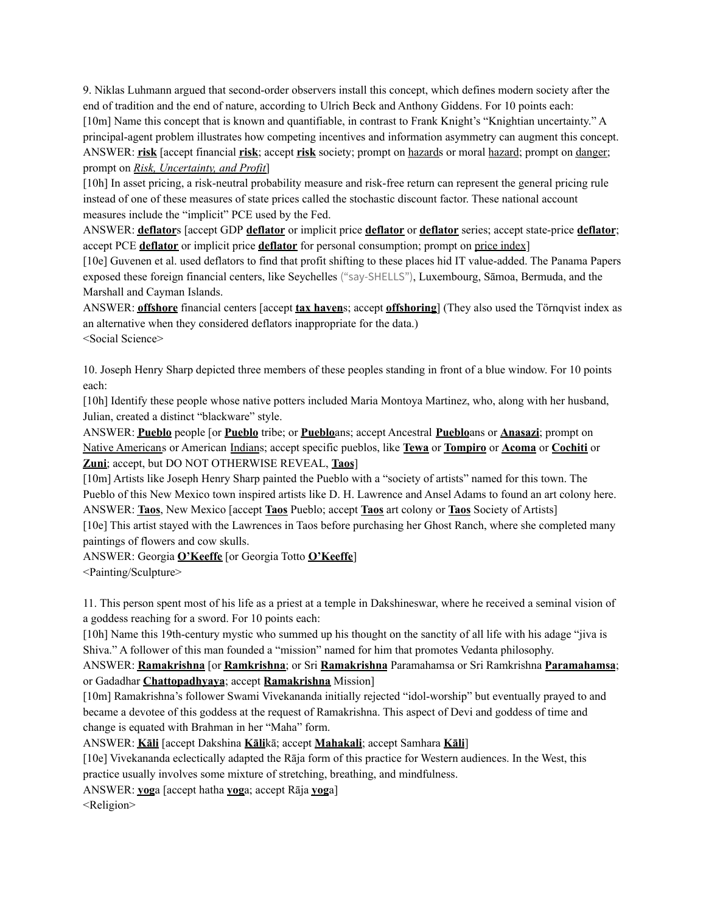9. Niklas Luhmann argued that second-order observers install this concept, which defines modern society after the end of tradition and the end of nature, according to Ulrich Beck and Anthony Giddens. For 10 points each: [10m] Name this concept that is known and quantifiable, in contrast to Frank Knight's "Knightian uncertainty." A principal-agent problem illustrates how competing incentives and information asymmetry can augment this concept. ANSWER: **risk** [accept financial **risk**; accept **risk** society; prompt on hazards or moral hazard; prompt on danger; prompt on *Risk, Uncertainty, and Profit*]

[10h] In asset pricing, a risk-neutral probability measure and risk-free return can represent the general pricing rule instead of one of these measures of state prices called the stochastic discount factor. These national account measures include the "implicit" PCE used by the Fed.

ANSWER: **deflator**s [accept GDP **deflator** or implicit price **deflator** or **deflator** series; accept state-price **deflator**; accept PCE **deflator** or implicit price **deflator** for personal consumption; prompt on price index]

[10e] Guvenen et al. used deflators to find that profit shifting to these places hid IT value-added. The Panama Papers exposed these foreign financial centers, like Seychelles ("say-SHELLS"), Luxembourg, Sāmoa, Bermuda, and the Marshall and Cayman Islands.

ANSWER: **offshore** financial centers [accept **tax haven**s; accept **offshoring**] (They also used the Törnqvist index as an alternative when they considered deflators inappropriate for the data.) <Social Science>

10. Joseph Henry Sharp depicted three members of these peoples standing in front of a blue window. For 10 points each:

[10h] Identify these people whose native potters included Maria Montoya Martinez, who, along with her husband, Julian, created a distinct "blackware" style.

ANSWER: **Pueblo** people [or **Pueblo** tribe; or **Pueblo**ans; accept Ancestral **Pueblo**ans or **Anasazi**; prompt on Native Americans or American Indians; accept specific pueblos, like **Tewa** or **Tompiro** or **Acoma** or **Cochiti** or **Zuni**; accept, but DO NOT OTHERWISE REVEAL, **Taos**]

[10m] Artists like Joseph Henry Sharp painted the Pueblo with a "society of artists" named for this town. The Pueblo of this New Mexico town inspired artists like D. H. Lawrence and Ansel Adams to found an art colony here. ANSWER: **Taos**, New Mexico [accept **Taos** Pueblo; accept **Taos** art colony or **Taos** Society of Artists] [10e] This artist stayed with the Lawrences in Taos before purchasing her Ghost Ranch, where she completed many

paintings of flowers and cow skulls.

ANSWER: Georgia **O'Keeffe** [or Georgia Totto **O'Keeffe**] <Painting/Sculpture>

11. This person spent most of his life as a priest at a temple in Dakshineswar, where he received a seminal vision of a goddess reaching for a sword. For 10 points each:

[10h] Name this 19th-century mystic who summed up his thought on the sanctity of all life with his adage "jiva is Shiva." A follower of this man founded a "mission" named for him that promotes Vedanta philosophy.

ANSWER: **Ramakrishna** [or **Ramkrishna**; or Sri **Ramakrishna** Paramahamsa or Sri Ramkrishna **Paramahamsa**; or Gadadhar **Chattopadhyaya**; accept **Ramakrishna** Mission]

[10m] Ramakrishna's follower Swami Vivekananda initially rejected "idol-worship" but eventually prayed to and became a devotee of this goddess at the request of Ramakrishna. This aspect of Devi and goddess of time and change is equated with Brahman in her "Maha" form.

ANSWER: **Kāli** [accept Dakshina **Kāli**kā; accept **Mahakali**; accept Samhara **Kāli**]

[10e] Vivekananda eclectically adapted the Rāja form of this practice for Western audiences. In the West, this practice usually involves some mixture of stretching, breathing, and mindfulness.

ANSWER: **yog**a [accept hatha **yog**a; accept Rāja **yog**a]

<Religion>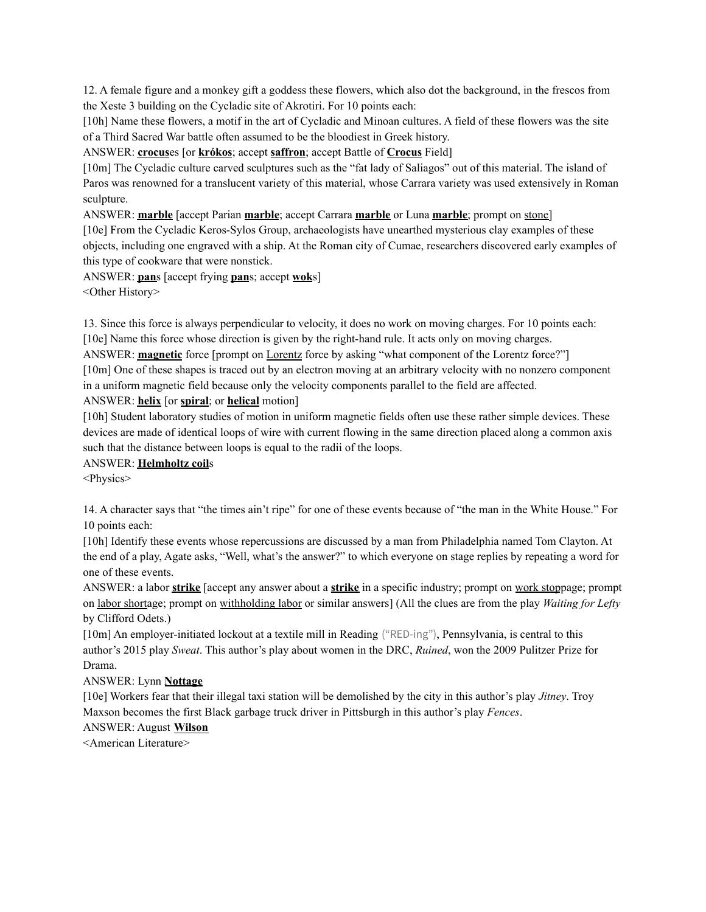12. A female figure and a monkey gift a goddess these flowers, which also dot the background, in the frescos from the Xeste 3 building on the Cycladic site of Akrotiri. For 10 points each:

[10h] Name these flowers, a motif in the art of Cycladic and Minoan cultures. A field of these flowers was the site of a Third Sacred War battle often assumed to be the bloodiest in Greek history.

# ANSWER: **crocus**es [or **krókos**; accept **saffron**; accept Battle of **Crocus** Field]

[10m] The Cycladic culture carved sculptures such as the "fat lady of Saliagos" out of this material. The island of Paros was renowned for a translucent variety of this material, whose Carrara variety was used extensively in Roman sculpture.

ANSWER: **marble** [accept Parian **marble**; accept Carrara **marble** or Luna **marble**; prompt on stone]

[10e] From the Cycladic Keros-Sylos Group, archaeologists have unearthed mysterious clay examples of these objects, including one engraved with a ship. At the Roman city of Cumae, researchers discovered early examples of this type of cookware that were nonstick.

ANSWER: **pan**s [accept frying **pan**s; accept **wok**s]

<Other History>

13. Since this force is always perpendicular to velocity, it does no work on moving charges. For 10 points each: [10e] Name this force whose direction is given by the right-hand rule. It acts only on moving charges.

ANSWER: **magnetic** force [prompt on <u>Lorentz</u> force by asking "what component of the Lorentz force?"] [10m] One of these shapes is traced out by an electron moving at an arbitrary velocity with no nonzero component in a uniform magnetic field because only the velocity components parallel to the field are affected.

## ANSWER: **helix** [or **spiral**; or **helical** motion]

[10h] Student laboratory studies of motion in uniform magnetic fields often use these rather simple devices. These devices are made of identical loops of wire with current flowing in the same direction placed along a common axis such that the distance between loops is equal to the radii of the loops.

## ANSWER: **Helmholtz coil**s

<Physics>

14. A character says that "the times ain't ripe" for one of these events because of "the man in the White House." For 10 points each:

[10h] Identify these events whose repercussions are discussed by a man from Philadelphia named Tom Clayton. At the end of a play, Agate asks, "Well, what's the answer?" to which everyone on stage replies by repeating a word for one of these events.

ANSWER: a labor **strike** [accept any answer about a **strike** in a specific industry; prompt on work stoppage; prompt on labor shortage; prompt on withholding labor or similar answers] (All the clues are from the play *Waiting for Lefty* by Clifford Odets.)

[10m] An employer-initiated lockout at a textile mill in Reading ("RED-ing"), Pennsylvania, is central to this author's 2015 play *Sweat*. This author's play about women in the DRC, *Ruined*, won the 2009 Pulitzer Prize for Drama.

## ANSWER: Lynn **Nottage**

[10e] Workers fear that their illegal taxi station will be demolished by the city in this author's play *Jitney*. Troy Maxson becomes the first Black garbage truck driver in Pittsburgh in this author's play *Fences*.

ANSWER: August **Wilson**

<American Literature>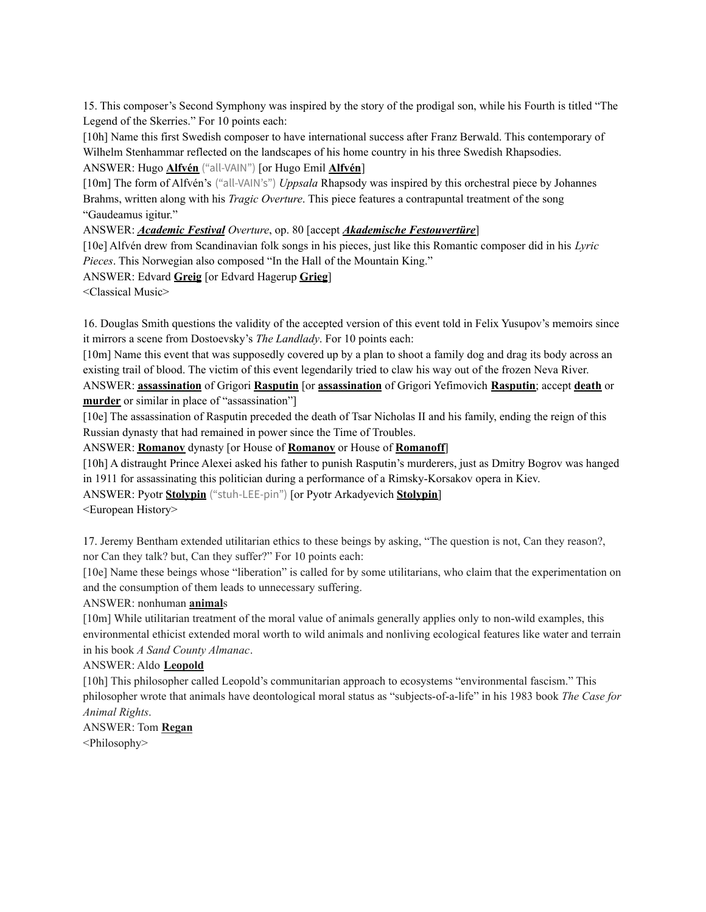15. This composer's Second Symphony was inspired by the story of the prodigal son, while his Fourth is titled "The Legend of the Skerries." For 10 points each:

[10h] Name this first Swedish composer to have international success after Franz Berwald. This contemporary of Wilhelm Stenhammar reflected on the landscapes of his home country in his three Swedish Rhapsodies.

ANSWER: Hugo **Alfvén** ("all-VAIN") [or Hugo Emil **Alfvén**]

[10m] The form of Alfvén's ("all-VAIN's") *Uppsala* Rhapsody was inspired by this orchestral piece by Johannes Brahms, written along with his *Tragic Overture*. This piece features a contrapuntal treatment of the song "Gaudeamus igitur."

ANSWER: *Academic Festival Overture*, op. 80 [accept *Akademische Festouvertüre*]

[10e] Alfvén drew from Scandinavian folk songs in his pieces, just like this Romantic composer did in his *Lyric Pieces*. This Norwegian also composed "In the Hall of the Mountain King."

ANSWER: Edvard **Greig** [or Edvard Hagerup **Grieg**]

<Classical Music>

16. Douglas Smith questions the validity of the accepted version of this event told in Felix Yusupov's memoirs since it mirrors a scene from Dostoevsky's *The Landlady*. For 10 points each:

[10m] Name this event that was supposedly covered up by a plan to shoot a family dog and drag its body across an existing trail of blood. The victim of this event legendarily tried to claw his way out of the frozen Neva River.

ANSWER: **assassination** of Grigori **Rasputin** [or **assassination** of Grigori Yefimovich **Rasputin**; accept **death** or **murder** or similar in place of "assassination"]

[10e] The assassination of Rasputin preceded the death of Tsar Nicholas II and his family, ending the reign of this Russian dynasty that had remained in power since the Time of Troubles.

ANSWER: **Romanov** dynasty [or House of **Romanov** or House of **Romanoff**]

[10h] A distraught Prince Alexei asked his father to punish Rasputin's murderers, just as Dmitry Bogrov was hanged in 1911 for assassinating this politician during a performance of a Rimsky-Korsakov opera in Kiev.

ANSWER: Pyotr **Stolypin** ("stuh-LEE-pin") [or Pyotr Arkadyevich **Stolypin**]

<European History>

17. Jeremy Bentham extended utilitarian ethics to these beings by asking, "The question is not, Can they reason?, nor Can they talk? but, Can they suffer?" For 10 points each:

[10e] Name these beings whose "liberation" is called for by some utilitarians, who claim that the experimentation on and the consumption of them leads to unnecessary suffering.

#### ANSWER: nonhuman **animal**s

[10m] While utilitarian treatment of the moral value of animals generally applies only to non-wild examples, this environmental ethicist extended moral worth to wild animals and nonliving ecological features like water and terrain in his book *A Sand County Almanac*.

#### ANSWER: Aldo **Leopold**

[10h] This philosopher called Leopold's communitarian approach to ecosystems "environmental fascism." This philosopher wrote that animals have deontological moral status as "subjects-of-a-life" in his 1983 book *The Case for Animal Rights*.

ANSWER: Tom **Regan** <Philosophy>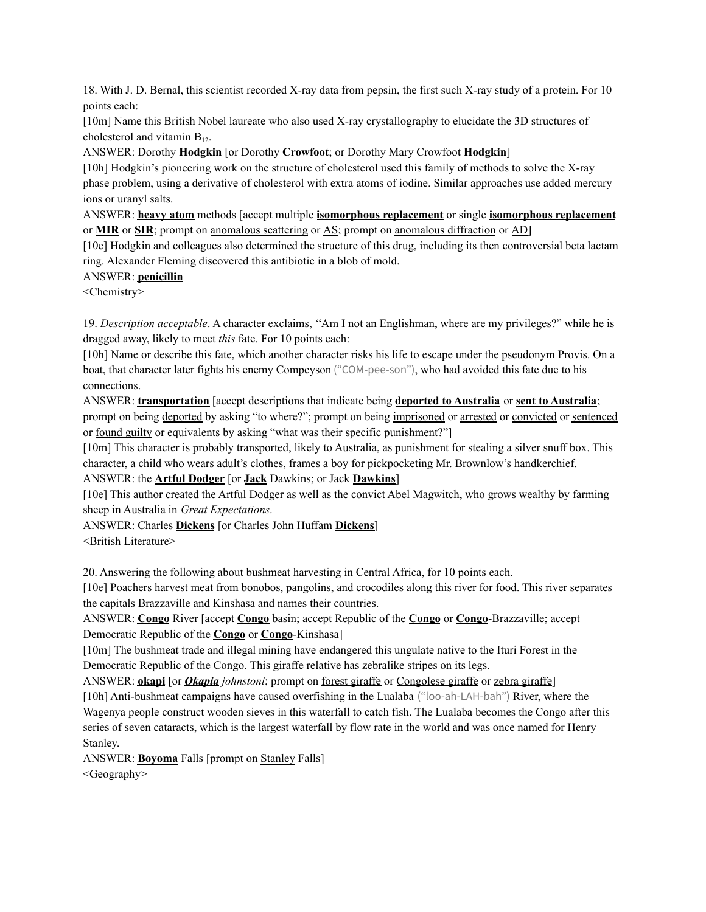18. With J. D. Bernal, this scientist recorded X-ray data from pepsin, the first such X-ray study of a protein. For 10 points each:

[10m] Name this British Nobel laureate who also used X-ray crystallography to elucidate the 3D structures of cholesterol and vitamin  $B_{12}$ .

ANSWER: Dorothy **Hodgkin** [or Dorothy **Crowfoot**; or Dorothy Mary Crowfoot **Hodgkin**]

[10h] Hodgkin's pioneering work on the structure of cholesterol used this family of methods to solve the X-ray phase problem, using a derivative of cholesterol with extra atoms of iodine. Similar approaches use added mercury ions or uranyl salts.

ANSWER: **heavy atom** methods [accept multiple **isomorphous replacement** or single **isomorphous replacement** or **MIR** or **SIR**; prompt on anomalous scattering or AS; prompt on anomalous diffraction or AD]

[10e] Hodgkin and colleagues also determined the structure of this drug, including its then controversial beta lactam ring. Alexander Fleming discovered this antibiotic in a blob of mold.

### ANSWER: **penicillin**

<Chemistry>

19. *Description acceptable*. A character exclaims, "Am I not an Englishman, where are my privileges?" while he is dragged away, likely to meet *this* fate. For 10 points each:

[10h] Name or describe this fate, which another character risks his life to escape under the pseudonym Provis. On a boat, that character later fights his enemy Compeyson ("COM-pee-son"), who had avoided this fate due to his connections.

ANSWER: **transportation** [accept descriptions that indicate being **deported to Australia** or **sent to Australia**; prompt on being deported by asking "to where?"; prompt on being imprisoned or arrested or convicted or sentenced or found guilty or equivalents by asking "what was their specific punishment?"]

[10m] This character is probably transported, likely to Australia, as punishment for stealing a silver snuff box. This character, a child who wears adult's clothes, frames a boy for pickpocketing Mr. Brownlow's handkerchief.

ANSWER: the **Artful Dodger** [or **Jack** Dawkins; or Jack **Dawkins**]

[10e] This author created the Artful Dodger as well as the convict Abel Magwitch, who grows wealthy by farming sheep in Australia in *Great Expectations*.

ANSWER: Charles **Dickens** [or Charles John Huffam **Dickens**]

<British Literature>

20. Answering the following about bushmeat harvesting in Central Africa, for 10 points each.

[10e] Poachers harvest meat from bonobos, pangolins, and crocodiles along this river for food. This river separates the capitals Brazzaville and Kinshasa and names their countries.

ANSWER: **Congo** River [accept **Congo** basin; accept Republic of the **Congo** or **Congo**-Brazzaville; accept Democratic Republic of the **Congo** or **Congo**-Kinshasa]

[10m] The bushmeat trade and illegal mining have endangered this ungulate native to the Ituri Forest in the Democratic Republic of the Congo. This giraffe relative has zebralike stripes on its legs.

ANSWER: **okapi** [or *Okapia johnstoni*; prompt on forest giraffe or Congolese giraffe or zebra giraffe]

[10h] Anti-bushmeat campaigns have caused overfishing in the Lualaba ("loo-ah-LAH-bah") River, where the Wagenya people construct wooden sieves in this waterfall to catch fish. The Lualaba becomes the Congo after this series of seven cataracts, which is the largest waterfall by flow rate in the world and was once named for Henry Stanley.

ANSWER: **Boyoma** Falls [prompt on Stanley Falls]

<Geography>